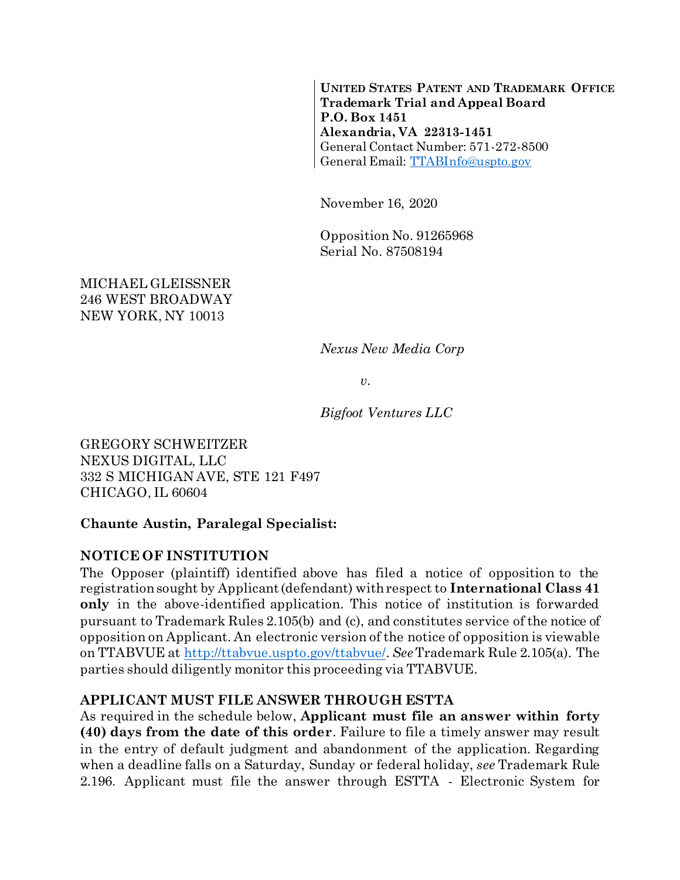**UNITED STATES PATENT AND TRADEMARK OFFICE Trademark Trial and Appeal Board P.O. Box 1451 Alexandria, VA 22313-1451** General Contact Number: 571-272-8500 General Email: [TTABInfo@uspto.gov](mailto:TTABInfo@uspto.gov)

November 16, 2020

Opposition No. 91265968 Serial No. 87508194

MICHAEL GLEISSNER 246 WEST BROADWAY NEW YORK, NY 10013

*Nexus New Media Corp*

*v.*

*Bigfoot Ventures LLC*

GREGORY SCHWEITZER NEXUS DIGITAL, LLC 332 S MICHIGAN AVE, STE 121 F497 CHICAGO, IL 60604

#### **Chaunte Austin, Paralegal Specialist:**

#### **NOTICE OF INSTITUTION**

The Opposer (plaintiff) identified above has filed a notice of opposition to the registration sought by Applicant (defendant) with respect to **International Class 41 only** in the above-identified application. This notice of institution is forwarded pursuant to Trademark Rules 2.105(b) and (c), and constitutes service of the notice of opposition on Applicant. An electronic version of the notice of opposition is viewable on TTABVUE at [http://ttabvue.uspto.gov/ttabvue/.](http://ttabvue.uspto.gov/ttabvue/) *See*Trademark Rule 2.105(a). The parties should diligently monitor this proceeding via TTABVUE.

#### **APPLICANT MUST FILE ANSWER THROUGH ESTTA**

As required in the schedule below, **Applicant must file an answer within forty (40) days from the date of this order**. Failure to file a timely answer may result in the entry of default judgment and abandonment of the application. Regarding when a deadline falls on a Saturday, Sunday or federal holiday, *see* Trademark Rule 2.196. Applicant must file the answer through ESTTA - Electronic System for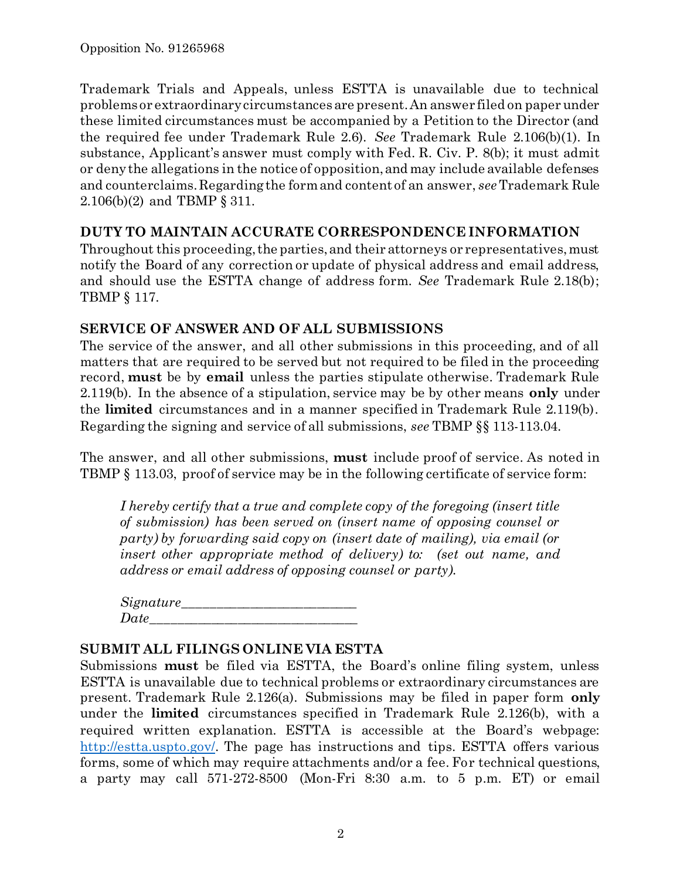Trademark Trials and Appeals, unless ESTTA is unavailable due to technical problems or extraordinary circumstances are present. An answer filed on paper under these limited circumstances must be accompanied by a Petition to the Director (and the required fee under Trademark Rule 2.6). *See* Trademark Rule 2.106(b)(1). In substance, Applicant's answer must comply with Fed. R. Civ. P. 8(b); it must admit or deny the allegations in the notice of opposition, and may include available defenses and counterclaims. Regarding the form and content of an answer, *see*Trademark Rule 2.106(b)(2) and TBMP § 311.

### **DUTY TO MAINTAIN ACCURATE CORRESPONDENCE INFORMATION**

Throughout this proceeding, the parties, and their attorneys or representatives, must notify the Board of any correction or update of physical address and email address, and should use the ESTTA change of address form. *See* Trademark Rule 2.18(b); TBMP § 117.

# **SERVICE OF ANSWER AND OF ALL SUBMISSIONS**

The service of the answer, and all other submissions in this proceeding, and of all matters that are required to be served but not required to be filed in the proceeding record, **must** be by **email** unless the parties stipulate otherwise. Trademark Rule 2.119(b). In the absence of a stipulation, service may be by other means **only** under the **limited** circumstances and in a manner specified in Trademark Rule 2.119(b). Regarding the signing and service of all submissions, *see* TBMP §§ 113-113.04.

The answer, and all other submissions, **must** include proof of service. As noted in TBMP § 113.03, proof of service may be in the following certificate of service form:

*I hereby certify that a true and complete copy of the foregoing (insert title of submission) has been served on (insert name of opposing counsel or party) by forwarding said copy on (insert date of mailing), via email (or insert other appropriate method of delivery) to: (set out name, and address or email address of opposing counsel or party).*

| Date |  |
|------|--|

#### **SUBMIT ALL FILINGS ONLINE VIA ESTTA**

Submissions **must** be filed via ESTTA, the Board's online filing system, unless ESTTA is unavailable due to technical problems or extraordinary circumstances are present. Trademark Rule 2.126(a). Submissions may be filed in paper form **only** under the **limited** circumstances specified in Trademark Rule 2.126(b), with a required written explanation. ESTTA is accessible at the Board's webpage: [http://estta.uspto.gov/.](http://estta.uspto.gov/) The page has instructions and tips. ESTTA offers various forms, some of which may require attachments and/or a fee. For technical questions, a party may call 571-272-8500 (Mon-Fri 8:30 a.m. to 5 p.m. ET) or email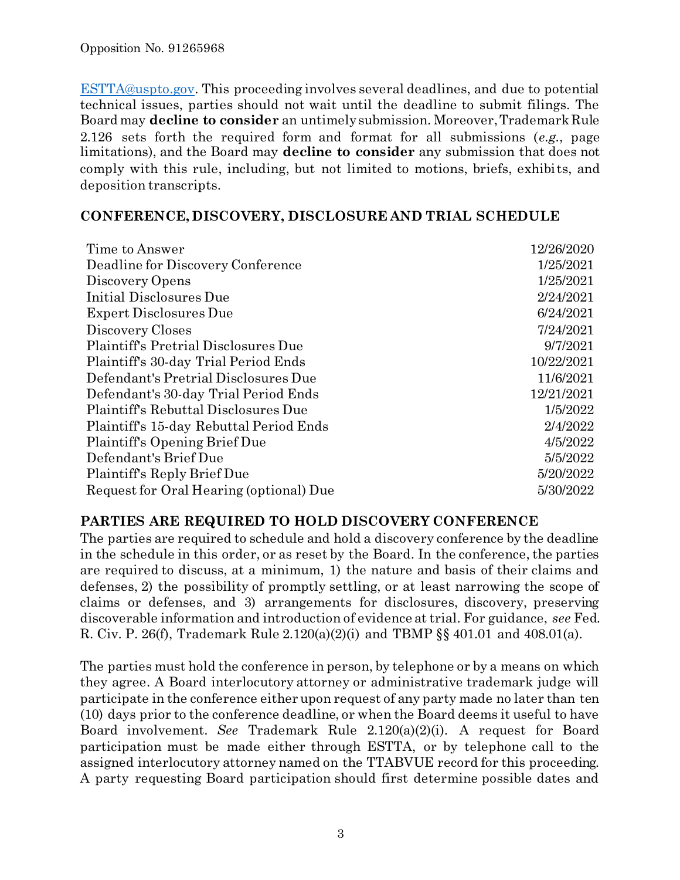[ESTTA@uspto.gov.](mailto:ESTTA@uspto.gov) This proceeding involves several deadlines, and due to potential technical issues, parties should not wait until the deadline to submit filings. The Board may **decline to consider** an untimely submission. Moreover, Trademark Rule 2.126 sets forth the required form and format for all submissions (*e.g.*, page limitations), and the Board may **decline to consider** any submission that does not comply with this rule, including, but not limited to motions, briefs, exhibits, and deposition transcripts.

#### **CONFERENCE, DISCOVERY, DISCLOSURE AND TRIAL SCHEDULE**

| Time to Answer                          | 12/26/2020 |
|-----------------------------------------|------------|
| Deadline for Discovery Conference       | 1/25/2021  |
| Discovery Opens                         | 1/25/2021  |
| Initial Disclosures Due                 | 2/24/2021  |
| <b>Expert Disclosures Due</b>           | 6/24/2021  |
| Discovery Closes                        | 7/24/2021  |
| Plaintiff's Pretrial Disclosures Due    | 9/7/2021   |
| Plaintiff's 30-day Trial Period Ends    | 10/22/2021 |
| Defendant's Pretrial Disclosures Due    | 11/6/2021  |
| Defendant's 30-day Trial Period Ends    | 12/21/2021 |
| Plaintiff's Rebuttal Disclosures Due    | 1/5/2022   |
| Plaintiff's 15-day Rebuttal Period Ends | 2/4/2022   |
| Plaintiff's Opening Brief Due           | 4/5/2022   |
| Defendant's Brief Due                   | 5/5/2022   |
| Plaintiff's Reply Brief Due             | 5/20/2022  |
| Request for Oral Hearing (optional) Due | 5/30/2022  |

#### **PARTIES ARE REQUIRED TO HOLD DISCOVERY CONFERENCE**

The parties are required to schedule and hold a discovery conference by the deadline in the schedule in this order, or as reset by the Board. In the conference, the parties are required to discuss, at a minimum, 1) the nature and basis of their claims and defenses, 2) the possibility of promptly settling, or at least narrowing the scope of claims or defenses, and 3) arrangements for disclosures, discovery, preserving discoverable information and introduction of evidence at trial. For guidance, *see* Fed. R. Civ. P. 26(f), Trademark Rule 2.120(a)(2)(i) and TBMP §§ 401.01 and 408.01(a).

The parties must hold the conference in person, by telephone or by a means on which they agree. A Board interlocutory attorney or administrative trademark judge will participate in the conference either upon request of any party made no later than ten (10) days prior to the conference deadline, or when the Board deems it useful to have Board involvement. *See* Trademark Rule 2.120(a)(2)(i). A request for Board participation must be made either through ESTTA, or by telephone call to the assigned interlocutory attorney named on the TTABVUE record for this proceeding. A party requesting Board participation should first determine possible dates and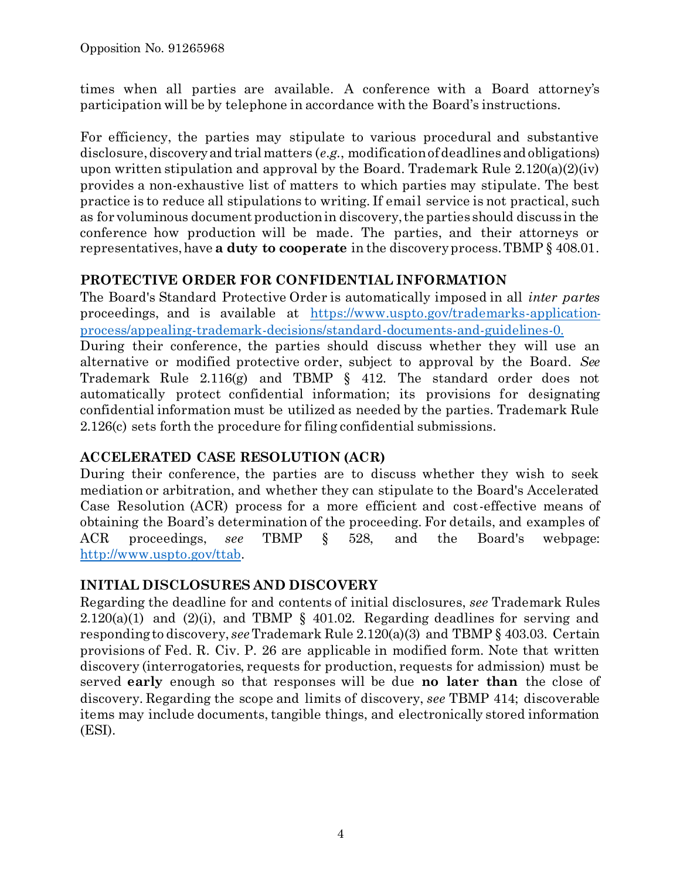times when all parties are available. A conference with a Board attorney's participation will be by telephone in accordance with the Board's instructions.

For efficiency, the parties may stipulate to various procedural and substantive disclosure, discovery and trial matters (*e.g.*, modification of deadlines and obligations) upon written stipulation and approval by the Board. Trademark Rule  $2.120(a)(2)(iv)$ provides a non-exhaustive list of matters to which parties may stipulate. The best practice is to reduce all stipulations to writing. If email service is not practical, such as for voluminous document production in discovery, the parties should discuss in the conference how production will be made. The parties, and their attorneys or representatives, have **a duty to cooperate** in the discovery process. TBMP § 408.01.

#### **PROTECTIVE ORDER FOR CONFIDENTIAL INFORMATION**

The Board's Standard Protective Order is automatically imposed in all *inter partes* proceedings, and is available at [https://www.uspto.gov/trademarks-application](https://www.uspto.gov/trademarks-application-process/appealing-trademark-decisions/standard-documents-and-guidelines-0)[process/appealing-trademark-decisions/standard-documents-and-guidelines-0.](https://www.uspto.gov/trademarks-application-process/appealing-trademark-decisions/standard-documents-and-guidelines-0)

During their conference, the parties should discuss whether they will use an alternative or modified protective order, subject to approval by the Board. *See* Trademark Rule 2.116(g) and TBMP § 412. The standard order does not automatically protect confidential information; its provisions for designating confidential information must be utilized as needed by the parties. Trademark Rule 2.126(c) sets forth the procedure for filing confidential submissions.

# **ACCELERATED CASE RESOLUTION (ACR)**

During their conference, the parties are to discuss whether they wish to seek mediation or arbitration, and whether they can stipulate to the Board's Accelerated Case Resolution (ACR) process for a more efficient and cost-effective means of obtaining the Board's determination of the proceeding. For details, and examples of ACR proceedings, *see* TBMP § 528, and the Board's webpage: [http://www.uspto.gov/ttab.](http://www.uspto.gov/ttab)

# **INITIAL DISCLOSURES AND DISCOVERY**

Regarding the deadline for and contents of initial disclosures, *see* Trademark Rules  $2.120(a)(1)$  and  $(2)(i)$ , and TBMP § 401.02. Regarding deadlines for serving and responding to discovery, *see*Trademark Rule 2.120(a)(3) and TBMP § 403.03. Certain provisions of Fed. R. Civ. P. 26 are applicable in modified form. Note that written discovery (interrogatories, requests for production, requests for admission) must be served **early** enough so that responses will be due **no later than** the close of discovery. Regarding the scope and limits of discovery, *see* TBMP 414; discoverable items may include documents, tangible things, and electronically stored information (ESI).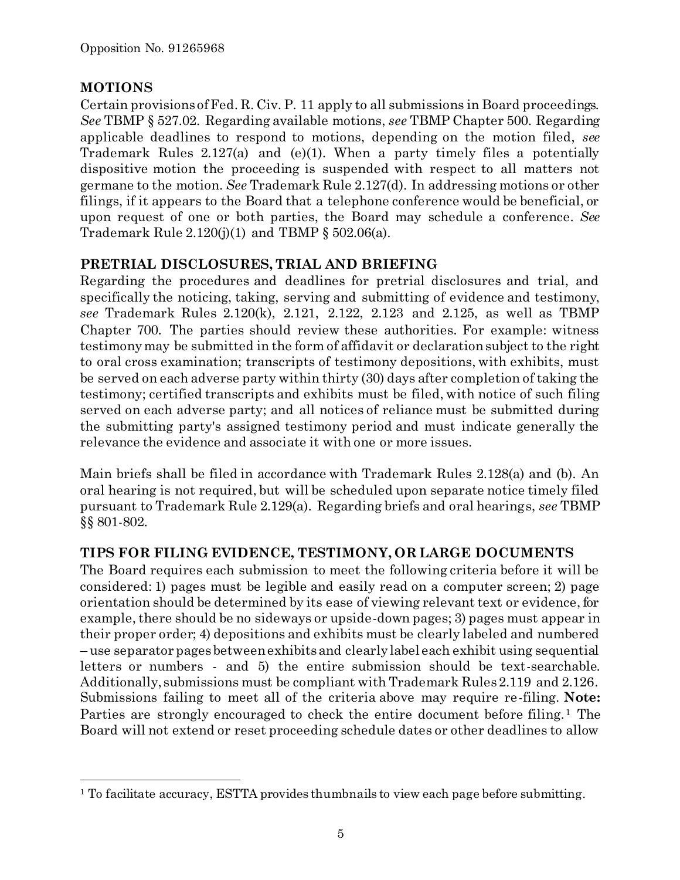# **MOTIONS**

l

Certain provisions of Fed. R. Civ. P. 11 apply to all submissions in Board proceedings. *See* TBMP § 527.02. Regarding available motions, *see* TBMP Chapter 500. Regarding applicable deadlines to respond to motions, depending on the motion filed, *see* Trademark Rules 2.127(a) and (e)(1). When a party timely files a potentially dispositive motion the proceeding is suspended with respect to all matters not germane to the motion. *See* Trademark Rule 2.127(d). In addressing motions or other filings, if it appears to the Board that a telephone conference would be beneficial, or upon request of one or both parties, the Board may schedule a conference. *See* Trademark Rule  $2.120(j)(1)$  and TBMP § 502.06(a).

# **PRETRIAL DISCLOSURES, TRIAL AND BRIEFING**

Regarding the procedures and deadlines for pretrial disclosures and trial, and specifically the noticing, taking, serving and submitting of evidence and testimony, *see* Trademark Rules 2.120(k), 2.121, 2.122, 2.123 and 2.125, as well as TBMP Chapter 700. The parties should review these authorities. For example: witness testimony may be submitted in the form of affidavit or declaration subject to the right to oral cross examination; transcripts of testimony depositions, with exhibits, must be served on each adverse party within thirty (30) days after completion of taking the testimony; certified transcripts and exhibits must be filed, with notice of such filing served on each adverse party; and all notices of reliance must be submitted during the submitting party's assigned testimony period and must indicate generally the relevance the evidence and associate it with one or more issues.

Main briefs shall be filed in accordance with Trademark Rules 2.128(a) and (b). An oral hearing is not required, but will be scheduled upon separate notice timely filed pursuant to Trademark Rule 2.129(a). Regarding briefs and oral hearings, *see* TBMP §§ 801-802.

# **TIPS FOR FILING EVIDENCE, TESTIMONY, OR LARGE DOCUMENTS**

The Board requires each submission to meet the following criteria before it will be considered: 1) pages must be legible and easily read on a computer screen; 2) page orientation should be determined by its ease of viewing relevant text or evidence, for example, there should be no sideways or upside-down pages; 3) pages must appear in their proper order; 4) depositions and exhibits must be clearly labeled and numbered – use separator pages between exhibits and clearly label each exhibit using sequential letters or numbers - and 5) the entire submission should be text-searchable. Additionally, submissions must be compliant with Trademark Rules 2.119 and 2.126. Submissions failing to meet all of the criteria above may require re-filing. **Note:** Parties are strongly encouraged to check the entire document before filing.<sup>1</sup> The Board will not extend or reset proceeding schedule dates or other deadlines to allow

<sup>&</sup>lt;sup>1</sup> To facilitate accuracy, ESTTA provides thumbnails to view each page before submitting.